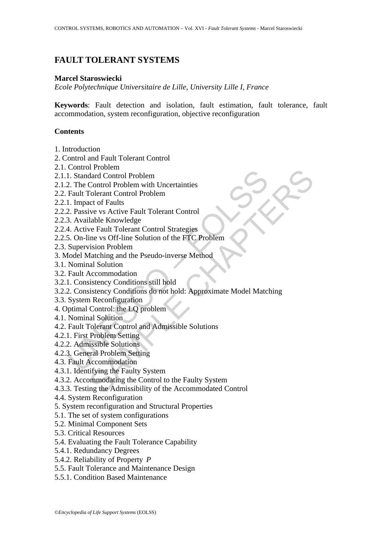# **FAULT TOLERANT SYSTEMS**

## **Marcel Staroswiecki**

*Ecole Polytechnique Universitaire de Lille, University Lille I, France* 

**Keywords**: Fault detection and isolation, fault estimation, fault tolerance, fault accommodation, system reconfiguration, objective reconfiguration

# **Contents**

- 1. Introduction
- 2. Control and Fault Tolerant Control
- 2.1. Control Problem
- 2.1.1. Standard Control Problem
- 2.1.2. The Control Problem with Uncertainties
- 2.2. Fault Tolerant Control Problem
- 2.2.1. Impact of Faults
- 2.2.2. Passive vs Active Fault Tolerant Control
- 2.2.3. Available Knowledge
- 2.2.4. Active Fault Tolerant Control Strategies
- 2.2.5. On-line vs Off-line Solution of the FTC Problem
- 2.3. Supervision Problem
- 3. Model Matching and the Pseudo-inverse Method
- 3.1. Nominal Solution
- 3.2. Fault Accommodation
- 3.2.1. Consistency Conditions still hold
- Leman Hotel<br>
1. Standard Control Problem<br>
2. The Control Problem with Uncertainties<br>
Fault Tolerant Control Problem<br>
1. Impact of Faults<br>
2. Passive vs Active Fault Tolerant Control<br>
3. Available Knowledge<br>
4. Active Fault Through<br>
Adard Control Problem<br>
Control Problem<br>
Control Problem<br>
control Problem<br>
cert of Faults<br>
view vs Active Fault Tolerant Control<br>
lable Knowledge<br>
we Fault Tolerant Control Strategies<br>
wisom Problem<br>
mission Proble 3.2.2. Consistency Conditions do not hold: Approximate Model Matching
- 3.3. System Reconfiguration
- 4. Optimal Control: the LQ problem
- 4.1. Nominal Solution
- 4.2. Fault Tolerant Control and Admissible Solutions
- 4.2.1. First Problem Setting
- 4.2.2. Admissible Solutions
- 4.2.3. General Problem Setting
- 4.3. Fault Accommodation
- 4.3.1. Identifying the Faulty System
- 4.3.2. Accommodating the Control to the Faulty System
- 4.3.3. Testing the Admissibility of the Accommodated Control
- 4.4. System Reconfiguration
- 5. System reconfiguration and Structural Properties
- 5.1. The set of system configurations
- 5.2. Minimal Component Sets
- 5.3. Critical Resources
- 5.4. Evaluating the Fault Tolerance Capability
- 5.4.1. Redundancy Degrees
- 5.4.2. Reliability of Property *P*
- 5.5. Fault Tolerance and Maintenance Design
- 5.5.1. Condition Based Maintenance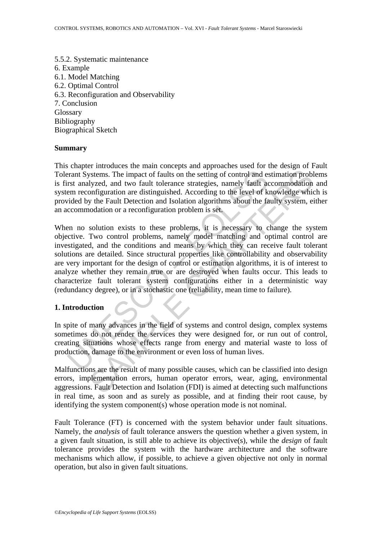5.5.2. Systematic maintenance 6. Example 6.1. Model Matching 6.2. Optimal Control 6.3. Reconfiguration and Observability 7. Conclusion Glossary Bibliography Biographical Sketch

### **Summary**

This chapter introduces the main concepts and approaches used for the design of Fault Tolerant Systems. The impact of faults on the setting of control and estimation problems is first analyzed, and two fault tolerance strategies, namely fault accommodation and system reconfiguration are distinguished. According to the level of knowledge which is provided by the Fault Detection and Isolation algorithms about the faulty system, either an accommodation or a reconfiguration problem is set.

erant Systems. The impact of faults on the setting of control and est<br>rant Systems. The impact of faults on the setting of control and est<br>randyzed, and two fault tolerance strategies, namely fault ac<br>em reconfiguration ar systems. The impact of faults on the setting of control and estimation problyzed, and two fault tolerance strategies, namely fault accommodation problyzed, and two fault tolerance strategies, namely fault accommodation orb When no solution exists to these problems, it is necessary to change the system objective. Two control problems, namely model matching and optimal control are investigated, and the conditions and means by which they can receive fault tolerant solutions are detailed. Since structural properties like controllability and observability are very important for the design of control or estimation algorithms, it is of interest to analyze whether they remain true or are destroyed when faults occur. This leads to characterize fault tolerant system configurations either in a deterministic way (redundancy degree), or in a stochastic one (reliability, mean time to failure).

### **1. Introduction**

In spite of many advances in the field of systems and control design, complex systems sometimes do not render the services they were designed for, or run out of control, creating situations whose effects range from energy and material waste to loss of production, damage to the environment or even loss of human lives.

Malfunctions are the result of many possible causes, which can be classified into design errors, implementation errors, human operator errors, wear, aging, environmental aggressions. Fault Detection and Isolation (FDI) is aimed at detecting such malfunctions in real time, as soon and as surely as possible, and at finding their root cause, by identifying the system component(s) whose operation mode is not nominal.

Fault Tolerance (FT) is concerned with the system behavior under fault situations. Namely, the *analysis* of fault tolerance answers the question whether a given system, in a given fault situation, is still able to achieve its objective(s), while the *design* of fault tolerance provides the system with the hardware architecture and the software mechanisms which allow, if possible, to achieve a given objective not only in normal operation, but also in given fault situations.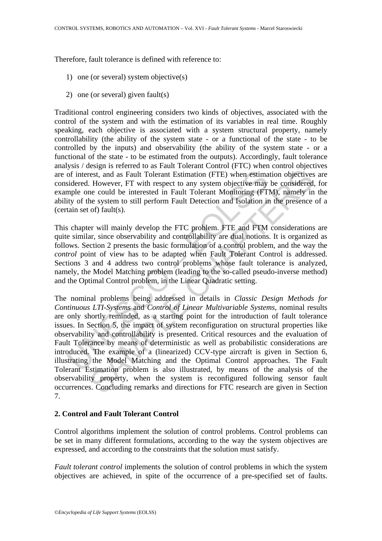Therefore, fault tolerance is defined with reference to:

- 1) one (or several) system objective(s)
- 2) one (or several) given fault(s)

Traditional control engineering considers two kinds of objectives, associated with the control of the system and with the estimation of its variables in real time. Roughly speaking, each objective is associated with a system structural property, namely controllability (the ability of the system state - or a functional of the state - to be controlled by the inputs) and observability (the ability of the system state - or a functional of the state - to be estimated from the outputs). Accordingly, fault tolerance analysis / design is referred to as Fault Tolerant Control (FTC) when control objectives are of interest, and as Fault Tolerant Estimation (FTE) when estimation objectives are considered. However, FT with respect to any system objective may be considered, for example one could be interested in Fault Tolerant Monitoring (FTM), namely in the ability of the system to still perform Fault Detection and Isolation in the presence of a (certain set of) fault(s).

This chapter will mainly develop the FTC problem. FTE and FTM considerations are quite similar, since observability and controllability are dual notions. It is organized as follows. Section 2 presents the basic formulation of a control problem, and the way the *control* point of view has to be adapted when Fault Tolerant Control is addressed. Sections 3 and 4 address two control problems whose fault tolerance is analyzed, namely, the Model Matching problem (leading to the so-called pseudo-inverse method) and the Optimal Control problem, in the Linear Quadratic setting.

of interest, and as Fault Tolerant Estimation (FTE) when estimationed. However, FT with respect to any system objective may spipe one could be interested in Fault Tolerant Monitoring (FT ity of the system to still perform erst, and as Fault Tolerant Estimation (FTE) when estimation objectives. However, FT with respect to any system objective may be considered in Equal to interested in Fault Tolerant Monitoring (FTM), namely in the presence The nominal problems being addressed in details in *Classic Design Methods for Continuous LTI-Systems* and *Control of Linear Multivariable Systems*, nominal results are only shortly reminded, as a starting point for the introduction of fault tolerance issues. In Section 5, the impact of system reconfiguration on structural properties like observability and controllability is presented. Critical resources and the evaluation of Fault Tolerance by means of deterministic as well as probabilistic considerations are introduced. The example of a (linearized) CCV-type aircraft is given in Section 6, illustrating the Model Matching and the Optimal Control approaches. The Fault Tolerant Estimation problem is also illustrated, by means of the analysis of the observability property, when the system is reconfigured following sensor fault occurrences. Concluding remarks and directions for FTC research are given in Section 7.

# **2. Control and Fault Tolerant Control**

Control algorithms implement the solution of control problems. Control problems can be set in many different formulations, according to the way the system objectives are expressed, and according to the constraints that the solution must satisfy.

*Fault tolerant control* implements the solution of control problems in which the system objectives are achieved, in spite of the occurrence of a pre-specified set of faults.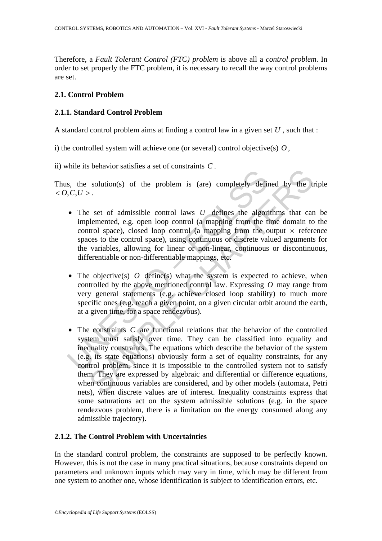Therefore, a *Fault Tolerant Control (FTC) problem* is above all a *control problem*. In order to set properly the FTC problem, it is necessary to recall the way control problems are set.

# **2.1. Control Problem**

# **2.1.1. Standard Control Problem**

A standard control problem aims at finding a control law in a given set *U* , such that :

i) the controlled system will achieve one (or several) control objective(s)  $O$ ,

ii) while its behavior satisfies a set of constraints *C* .

Thus, the solution(s) of the problem is (are) completely defined by the triple  $< O, C, U >$ .

- **Examplemental control entity** and the problem is (are) completely defined  $C, C, U >$ .<br>
 The set of admissible control laws  $U$  defines the algori implemented, e.g. open loop control (a mapping from the control spaces to t • The set of admissible control laws *U* defines the algorithms that can be implemented, e.g. open loop control (a mapping from the time domain to the control space), closed loop control (a mapping from the output  $\times$  reference spaces to the control space), using continuous or discrete valued arguments for the variables, allowing for linear or non-linear, continuous or discontinuous, differentiable or non-differentiable mappings, etc.
- The objective(s) *O* define(s) what the system is expected to achieve, when controlled by the above mentioned control law. Expressing *O* may range from very general statements (e.g. achieve closed loop stability) to much more specific ones (e.g. reach a given point, on a given circular orbit around the earth, at a given time, for a space rendezvous).
- solution(s) of the problem is (are) completely defined by the transmitted set of constraints  $U$ .<br>
Set of admissible control laws  $U$  defines the algorithms that care<br>
blemented, e.g. open loop control (a mapping from the • The constraints *C* are functional relations that the behavior of the controlled system must satisfy over time. They can be classified into equality and inequality constraints. The equations which describe the behavior of the system (e.g. its state equations) obviously form a set of equality constraints, for any control problem, since it is impossible to the controlled system not to satisfy them. They are expressed by algebraic and differential or difference equations, when continuous variables are considered, and by other models (automata, Petri nets), when discrete values are of interest. Inequality constraints express that some saturations act on the system admissible solutions (e.g. in the space rendezvous problem, there is a limitation on the energy consumed along any admissible trajectory).

# **2.1.2. The Control Problem with Uncertainties**

In the standard control problem, the constraints are supposed to be perfectly known. However, this is not the case in many practical situations, because constraints depend on parameters and unknown inputs which may vary in time, which may be different from one system to another one, whose identification is subject to identification errors, etc.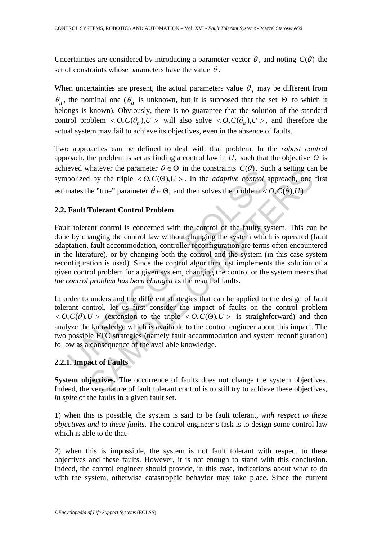Uncertainties are considered by introducing a parameter vector  $\theta$ , and noting  $C(\theta)$  the set of constraints whose parameters have the value  $\theta$ .

When uncertainties are present, the actual parameters value  $\theta_a$  may be different from  $\theta_n$ , the nominal one ( $\theta_a$  is unknown, but it is supposed that the set  $\Theta$  to which it belongs is known). Obviously, there is no guarantee that the solution of the standard control problem  $\langle O, C(\theta_n), U \rangle$  will also solve  $\langle O, C(\theta_n), U \rangle$ , and therefore the actual system may fail to achieve its objectives, even in the absence of faults.

Two approaches can be defined to deal with that problem. In the *robust control* approach, the problem is set as finding a control law in  $U$ , such that the objective  $O$  is achieved whatever the parameter  $\theta \in \Theta$  in the constraints  $C(\theta)$ . Such a setting can be symbolized by the triple  $\langle O, C(\Theta), U \rangle$ . In the *adaptive control* approach, one first estimates the "true" parameter  $\hat{\theta} \in \Theta$ , and then solves the problem <  $O, C(\hat{\theta}), U$ .

# **2.2. Fault Tolerant Control Problem**

bolized by the triple  $\epsilon$  0,  $C(\Theta)$ ,  $U >$ . In the constraints  $C(\theta)$ , sub-<br>bolized by the triple  $\epsilon$  0,  $C(\Theta)$ ,  $U >$ . In the *adaptive control* a<br>mates the "true" parameter  $\hat{\theta} \in \Theta$ , and then solves the problem  $\epsilon$ <br> That<br>ever the parameter  $\theta \in \Theta$  in the constraints  $C(\theta)$ , such a setting can<br>be "true" parameter  $\theta \in \Theta$ , and then solves the problem  $\langle O, C(\hat{\theta}), U \rangle$ .<br>Tolerant Control Problem<br>ant control is concerned with the control Fault tolerant control is concerned with the control of the faulty system. This can be done by changing the control law without changing the system which is operated (fault adaptation, fault accommodation, controller reconfiguration are terms often encountered in the literature), or by changing both the control and the system (in this case system reconfiguration is used). Since the control algorithm just implements the solution of a given control problem for a given system, changing the control or the system means that *the control problem has been changed* as the result of faults.

In order to understand the different strategies that can be applied to the design of fault tolerant control, let us first consider the impact of faults on the control problem  $< O, C(\theta), U >$  (extension to the triple  $< O, C(\theta), U >$  is straightforward) and then analyze the knowledge which is available to the control engineer about this impact. The two possible FTC strategies (namely fault accommodation and system reconfiguration) follow as a consequence of the available knowledge.

# **2.2.1. Impact of Faults**

**System objectives.** The occurrence of faults does not change the system objectives. Indeed, the very nature of fault tolerant control is to still try to achieve these objectives, *in spite* of the faults in a given fault set.

1) when this is possible, the system is said to be fault tolerant, *with respect to these objectives and to these faults*. The control engineer's task is to design some control law which is able to do that.

2) when this is impossible, the system is not fault tolerant with respect to these objectives and these faults. However, it is not enough to stand with this conclusion. Indeed, the control engineer should provide, in this case, indications about what to do with the system, otherwise catastrophic behavior may take place. Since the current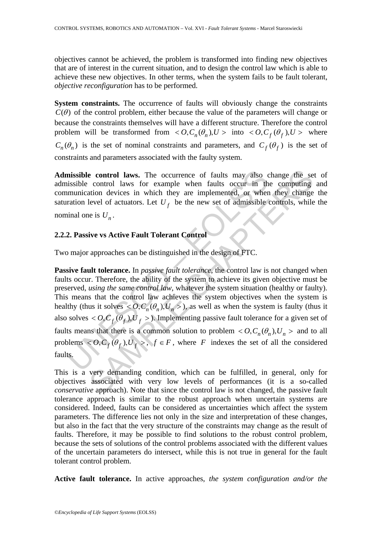objectives cannot be achieved, the problem is transformed into finding new objectives that are of interest in the current situation, and to design the control law which is able to achieve these new objectives. In other terms, when the system fails to be fault tolerant, *objective reconfiguration* has to be performed.

**System constraints.** The occurrence of faults will obviously change the constraints  $C(\theta)$  of the control problem, either because the value of the parameters will change or because the constraints themselves will have a different structure. Therefore the control problem will be transformed from  $\langle O, C_n(\theta_n), U \rangle$  into  $\langle O, C_f(\theta_f), U \rangle$  where  $C_n(\theta_n)$  is the set of nominal constraints and parameters, and  $C_f(\theta_f)$  is the set of constraints and parameters associated with the faulty system.

**Admissible control laws.** The occurrence of faults may also change the set of admissible control laws for example when faults occur in the computing and communication devices in which they are implemented, or when they change the saturation level of actuators. Let  $U_f$  be the new set of admissible controls, while the nominal one is  $U_n$ .

### **2.2.2. Passive vs Active Fault Tolerant Control**

Two major approaches can be distinguished in the design of FTC.

**nissible control laws.** The occurrence of faults may also consisible control laws for example when faults occur in the munication devices in which they are implemented, or where action level of actuators. Let  $U_f$  be the **e control laws.** The occurrence of faults may also change the se control laws for example when faults occur in the computing<br>tation devices in which they are implemented, or when they change<br>level of actuators. Let  $U_f$  **Passive fault tolerance.** In *passive fault tolerance*, the control law is not changed when faults occur. Therefore, the ability of the system to achieve its given objective must be preserved, *using the same control law*, whatever the system situation (healthy or faulty). This means that the control law achieves the system objectives when the system is healthy (thus it solves  $\langle O, C_n(\theta_n), U_n \rangle$ ), as well as when the system is faulty (thus it also solves  $<$  *O*,  $C_f$   $(\theta_f)$ ,  $U_f$  > ). Implementing passive fault tolerance for a given set of faults means that there is a common solution to problem  $\langle O, C_n(\theta_n), U_n \rangle$  and to all problems  $\langle O, C_f(\theta_f), U_f \rangle$ ,  $f \in F$ , where *F* indexes the set of all the considered faults.

This is a very demanding condition, which can be fulfilled, in general, only for objectives associated with very low levels of performances (it is a so-called *conservative* approach). Note that since the control law is not changed, the passive fault tolerance approach is similar to the robust approach when uncertain systems are considered. Indeed, faults can be considered as uncertainties which affect the system parameters. The difference lies not only in the size and interpretation of these changes, but also in the fact that the very structure of the constraints may change as the result of faults. Therefore, it may be possible to find solutions to the robust control problem, because the sets of solutions of the control problems associated with the different values of the uncertain parameters do intersect, while this is not true in general for the fault tolerant control problem.

**Active fault tolerance.** In active approaches, *the system configuration and/or the*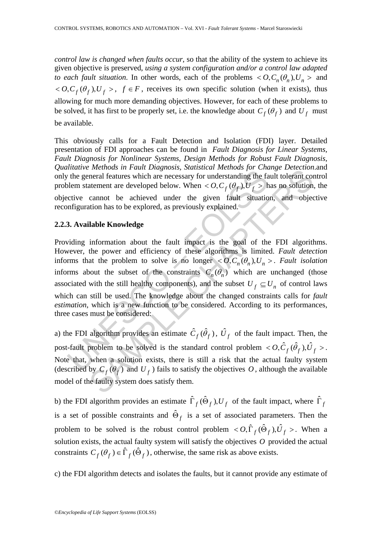*control law is changed when faults occur*, so that the ability of the system to achieve its given objective is preserved, *using a system configuration and/or a control law adapted to each fault situation*. In other words, each of the problems  $\langle O, C_n(\theta_n), U_n \rangle$  and  $<$  *O*,  $C_f$ ( $\theta_f$ ),  $U_f$  >,  $f \in F$ , receives its own specific solution (when it exists), thus allowing for much more demanding objectives. However, for each of these problems to be solved, it has first to be properly set, i.e. the knowledge about  $C_f(\theta_f)$  and  $U_f$  must be available.

This obviously calls for a Fault Detection and Isolation (FDI) layer. Detailed presentation of FDI approaches can be found in *Fault Diagnosis for Linear Systems, Fault Diagnosis for Nonlinear Systems, Design Methods for Robust Fault Diagnosis, Qualitative Methods in Fault Diagnosis, Statistical Methods for Change Detection*.and only the general features which are necessary for understanding the fault tolerant control problem statement are developed below. When  $<$  *O*,  $C_f$  ( $\theta_f$ ),  $U_f$  > has no solution, the objective cannot be achieved under the given fault situation, and objective reconfiguration has to be explored, as previously explained.

### **2.2.3. Available Knowledge**

Interaction in Faulti Degrads, statistical interaction in the general features which are necessary for understanding the fallem statement are developed below. When  $< O$ ,  $C_f$  ( $\theta_f$ ),  $U_f$  > herive cannot be achieved und *Methous in 1 unial Dugglosis, sinusticu ineurous jor Change Detection-<br>neral features which are necessary for understanding the fault tolerant content are developed below. When <*  $O, C_f(\theta_f), U_f$  *> has no solution, cannot be* Providing information about the fault impact is the goal of the FDI algorithms. However, the power and efficiency of these algorithms is limited. *Fault detection* informs that the problem to solve is no longer  $< O, C_n(\theta_n), U_n >$ . *Fault isolation* informs about the subset of the constraints  $C_n(\theta_n)$  which are unchanged (those associated with the still healthy components), and the subset  $U_f \subseteq U_n$  of control laws which can still be used. The knowledge about the changed constraints calls for *fault estimation*, which is a new function to be considered. According to its performances, three cases must be considered:

a) the FDI algorithm provides an estimate  $\hat{C}_f(\hat{\theta}_f)$ ,  $\hat{U}_f$  of the fault impact. Then, the post-fault problem to be solved is the standard control problem  $\langle O, \hat{C}_f(\hat{\theta}_f), \hat{U}_f \rangle$ . Note that, when a solution exists, there is still a risk that the actual faulty system (described by  $C_f(\theta_f)$  and  $U_f$ ) fails to satisfy the objectives O, although the available model of the faulty system does satisfy them.

b) the FDI algorithm provides an estimate  $\hat{\Gamma}_f(\hat{\Theta}_f), U_f$  of the fault impact, where  $\hat{\Gamma}_f$ is a set of possible constraints and  $\hat{\Theta}_f$  is a set of associated parameters. Then the problem to be solved is the robust control problem  $\langle O, \hat{\Gamma}_f(\hat{\Theta}_f), \hat{U}_f \rangle$ . When a solution exists, the actual faulty system will satisfy the objectives *O* provided the actual constraints  $C_f(\theta_f) \in \hat{\Gamma}_f(\hat{\Theta}_f)$ , otherwise, the same risk as above exists.

c) the FDI algorithm detects and isolates the faults, but it cannot provide any estimate of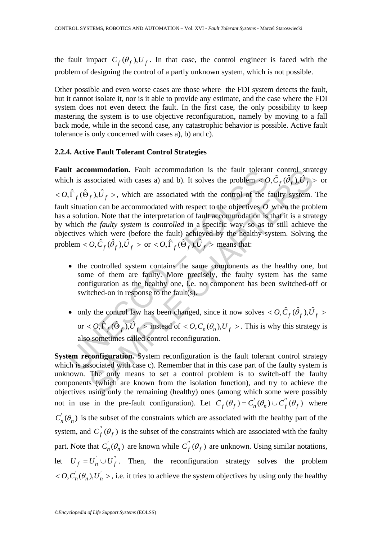the fault impact  $C_f(\theta_f)$ ,  $U_f$ . In that case, the control engineer is faced with the problem of designing the control of a partly unknown system, which is not possible.

Other possible and even worse cases are those where the FDI system detects the fault, but it cannot isolate it, nor is it able to provide any estimate, and the case where the FDI system does not even detect the fault. In the first case, the only possibility to keep mastering the system is to use objective reconfiguration, namely by moving to a fall back mode, while in the second case, any catastrophic behavior is possible. Active fault tolerance is only concerned with cases a), b) and c).

#### **2.2.4. Active Fault Tolerant Control Strategies**

It accommodation. Fault accommodation is the rault tolerar<br>
ch is associated with cases a) and b). It solves the problem < C<br>  $\int \hat{\Gamma}_f(\hat{\Theta}_f), \hat{U}_f$  >, which are associated with the control of the 1<br>
stitution can be acc SAMPLE CHAPTERS Fault accommodation. Fault accommodation is the fault tolerant control strategy which is associated with cases a) and b). It solves the problem  $\langle O, \hat{C}_f(\hat{\theta}_f), \hat{U}_f \rangle$  or  $< O, \hat{\Gamma}_f(\hat{\Theta}_f), \hat{U}_f >$ , which are associated with the control of the faulty system. The fault situation can be accommodated with respect to the objectives *O* when the problem has a solution. Note that the interpretation of fault accommodation is that it is a strategy by which *the faulty system is controlled* in a specific way, so as to still achieve the objectives which were (before the fault) achieved by the healthy system. Solving the problem  $<$  *O*,  $\hat{C}_f$  ( $\hat{\theta}_f$ ),  $\hat{U}_f$  > or  $<$  *O*,  $\hat{\Gamma}_f$  ( $\hat{\Theta}_f$ ),  $\hat{U}_f$  > means that:

- the controlled system contains the same components as the healthy one, but some of them are faulty. More precisely, the faulty system has the same configuration as the healthy one, i.e. no component has been switched-off or switched-on in response to the fault(s).
- only the control law has been changed, since it now solves  $\langle O, \hat{C}_f(\hat{\theta}_f), \hat{U}_f \rangle$ or  $<$  *O*,  $\hat{\Gamma}_f$  ( $\hat{\Theta}_f$ ),  $\hat{U}_f$  > instead of  $<$  *O*,  $C_n(\theta_n)$ ,  $U_f$  >. This is why this strategy is also sometimes called control reconfiguration.

**System reconfiguration.** System reconfiguration is the fault tolerant control strategy which is associated with case c). Remember that in this case part of the faulty system is unknown. The only means to set a control problem is to switch-off the faulty components (which are known from the isolation function), and try to achieve the objectives using only the remaining (healthy) ones (among which some were possibly not in use in the pre-fault configuration). Let  $C_f(\theta_f) = C'_n(\theta_n) \cup C''_f(\theta_f)$  where  $C_n(\theta_n)$  is the subset of the constraints which are associated with the healthy part of the system, and  $C_f''(\theta_f)$  is the subset of the constraints which are associated with the faulty part. Note that  $C'_n(\theta_n)$  are known while  $C'_f(\theta_f)$  are unknown. Using similar notations, let  $U_f = U'_n \cup U''_f$ . Then, the reconfiguration strategy solves the problem  $<$  *O*,  $C'_n(\theta_n)$ ,  $U'_n$  >, i.e. it tries to achieve the system objectives by using only the healthy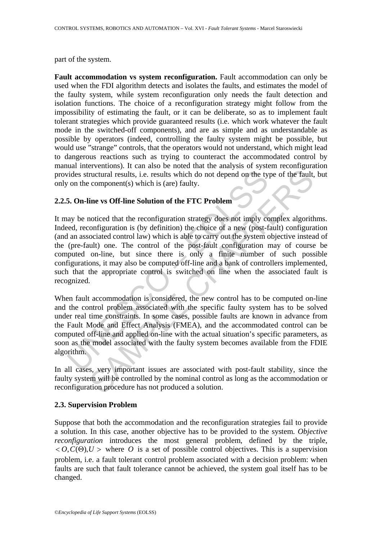part of the system.

**Fault accommodation vs system reconfiguration.** Fault accommodation can only be used when the FDI algorithm detects and isolates the faults, and estimates the model of the faulty system, while system reconfiguration only needs the fault detection and isolation functions. The choice of a reconfiguration strategy might follow from the impossibility of estimating the fault, or it can be deliberate, so as to implement fault tolerant strategies which provide guaranteed results (i.e. which work whatever the fault mode in the switched-off components), and are as simple and as understandable as possible by operators (indeed, controlling the faulty system might be possible, but would use "strange" controls, that the operators would not understand, which might lead to dangerous reactions such as trying to counteract the accommodated control by manual interventions). It can also be noted that the analysis of system reconfiguration provides structural results, i.e. results which do not depend on the type of the fault, but only on the component(s) which is (are) faulty.

# **2.2.5. On-line vs Off-line Solution of the FTC Problem**

ides structural results, i.e. results which do not depend on the ty<br>
or on the component(s) which is (are) faulty.<br>
5. **On-line vs Off-line Solution of the FTC Problem**<br>
ay be noticed that the reconfiguration strategy does Tructural results, i.e. results which do not depend on the type of the fault,<br>component(s) which is (are) faulty.<br>
ine vs Off-line Solution of the FTC Problem<br>
ine vs Off-line Solution of the FTC Problem<br>
configuration is It may be noticed that the reconfiguration strategy does not imply complex algorithms. Indeed, reconfiguration is (by definition) the choice of a new (post-fault) configuration (and an associated control law) which is able to carry out the system objective instead of the (pre-fault) one. The control of the post-fault configuration may of course be computed on-line, but since there is only a finite number of such possible configurations, it may also be computed off-line and a bank of controllers implemented, such that the appropriate control is switched on line when the associated fault is recognized.

When fault accommodation is considered, the new control has to be computed on-line and the control problem associated with the specific faulty system has to be solved under real time constraints. In some cases, possible faults are known in advance from the Fault Mode and Effect Analysis (FMEA), and the accommodated control can be computed off-line and applied on-line with the actual situation's specific parameters, as soon as the model associated with the faulty system becomes available from the FDIE algorithm.

In all cases, very important issues are associated with post-fault stability, since the faulty system will be controlled by the nominal control as long as the accommodation or reconfiguration procedure has not produced a solution.

### **2.3. Supervision Problem**

Suppose that both the accommodation and the reconfiguration strategies fail to provide a solution. In this case, another objective has to be provided to the system. *Objective reconfiguration* introduces the most general problem, defined by the triple,  $< O, C(\Theta), U >$  where *O* is a set of possible control objectives. This is a supervision problem, i.e. a fault tolerant control problem associated with a decision problem: when faults are such that fault tolerance cannot be achieved, the system goal itself has to be changed.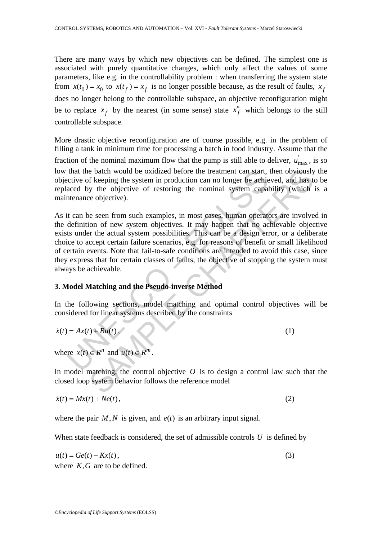There are many ways by which new objectives can be defined. The simplest one is associated with purely quantitative changes, which only affect the values of some parameters, like e.g. in the controllability problem : when transferring the system state from  $x(t_0) = x_0$  to  $x(t_f) = x_f$  is no longer possible because, as the result of faults,  $x_f$ does no longer belong to the controllable subspace, an objective reconfiguration might be to replace  $x_f$  by the nearest (in some sense) state  $x_f^*$  which belongs to the still controllable subspace.

More drastic objective reconfiguration are of course possible, e.g. in the problem of filling a tank in minimum time for processing a batch in food industry. Assume that the fraction of the nominal maximum flow that the pump is still able to deliver,  $u'_{\text{max}}$ , is so low that the batch would be oxidized before the treatment can start, then obviously the objective of keeping the system in production can no longer be achieved, and has to be replaced by the objective of restoring the nominal system capability (which is a maintenance objective).

that the batch would be oxidized before the treatment can start,<br>crive of keeping the system in production can no longer be achie<br>aced by the objective of restoring the nominal system capal<br>intenance objective).<br>It can be e batch would be oxidized before the treatment can start, then obviously<br>f keeping the system in production can no longer be achieved, and has the<br>eignific persum in production can no longer be achieved, and has the<br>ve ob As it can be seen from such examples, in most cases, human operators are involved in the definition of new system objectives. It may happen that no achievable objective exists under the actual system possibilities. This can be a design error, or a deliberate choice to accept certain failure scenarios, e.g. for reasons of benefit or small likelihood of certain events. Note that fail-to-safe conditions are intended to avoid this case, since they express that for certain classes of faults, the objective of stopping the system must always be achievable.

### **3. Model Matching and the Pseudo-inverse Method**

In the following sections, model matching and optimal control objectives will be considered for linear systems described by the constraints

$$
\dot{x}(t) = Ax(t) + Bu(t),\tag{1}
$$

where  $x(t) \in R^n$  and  $u(t) \in R^m$ 

In model matching, the control objective  $O$  is to design a control law such that the closed loop system behavior follows the reference model

$$
\dot{x}(t) = Mx(t) + Ne(t),\tag{2}
$$

where the pair  $M, N$  is given, and  $e(t)$  is an arbitrary input signal.

When state feedback is considered, the set of admissible controls  $U$  is defined by

$$
u(t) = Ge(t) - Kx(t),
$$
\n(3)

where  $K, G$  are to be defined.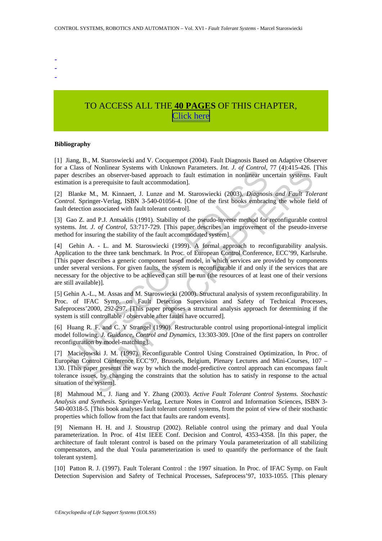- -
- -

# TO ACCESS ALL THE **40 PAGES** OF THIS CHAPTER, [C](https://www.eolss.net/ebooklib/sc_cart.aspx?File=E6-43-31-09)[lick here](http://www.eolss.net/Eolss-sampleAllChapter.aspx)

#### **Bibliography**

[1] Jiang, B., M. Staroswiecki and V. Cocquempot (2004). Fault Diagnosis Based on Adaptive Observer for a Class of Nonlinear Systems with Unknown Parameters. *Int. J. of Control*, 77 (4):415-426. [This paper describes an observer-based approach to fault estimation in nonlinear uncertain systems. Fault estimation is a prerequisite to fault accommodation].

[2] Blanke M., M. Kinnaert, J. Lunze and M. Staroswiecki (2003). *Diagnosis and Fault Tolerant Control.* Springer-Verlag, ISBN 3-540-01056-4. [One of the first books embracing the whole field of fault detection associated with fault tolerant control].

[3] Gao Z. and P.J. Antsaklis (1991). Stability of the pseudo-inverse method for reconfigurable control systems. *Int. J. of Control*, 53:717-729. [This paper describes an improvement of the pseudo-inverse method for insuring the stability of the fault accommodated system].

Cass or Nominear Jystems with Cnance of reductions in anciencis:  $m: \circ, \circ, \circ, \circ, \circ$  control, reactibles an observer-based approach to fault estimation in onblinear unation is a prerequisite to fault accommodation].<br>Blanke Transmission with change one and the system is the system and space and between smaller than the system approach to fault estimation in nonlinear uncertain systems.<br>
A mean-vertical space and M. Staroswiecki (2003). *Diag* [4] Gehin A. - L. and M. Staroswiecki (1999). A formal approach to reconfigurability analysis. Application to the three tank benchmark. In Proc. of European Control Conference, ECC'99, Karlsruhe. [This paper describes a generic component based model, in which services are provided by components under several versions. For given faults, the system is reconfigurable if and only if the services that are necessary for the objective to be achieved can still be run (the resources of at least one of their versions are still available)].

[5] Gehin A.-L., M. Assas and M. Staroswiecki (2000). Structural analysis of system reconfigurability. In Proc. of IFAC Symp. on Fault Detection Supervision and Safety of Technical Processes, Safeprocess'2000, 292-297. [This paper proposes a structural analysis approach for determining if the system is still controllable / observable after faults have occurred].

[6] Huang R. F. and C. Y Strangel (1990). Restructurable control using proportional-integral implicit model following. *J. Guidance, Control and Dynamics*, 13:303-309. [One of the first papers on controller reconfiguration by model-matching].

[7] Maciejowski J. M. (1997). Reconfigurable Control Using Constrained Optimization, In Proc. of European Control Conference ECC'97, Brussels, Belgium, Plenary Lectures and Mini-Courses, 107 – 130. [This paper presents the way by which the model-predictive control approach can encompass fault tolerance issues, by changing the constraints that the solution has to satisfy in response to the actual situation of the system].

[8] Mahmoud M., J. Jiang and Y. Zhang (2003). *Active Fault Tolerant Control Systems. Stochastic Analysis and Synthesis.* Springer-Verlag, Lecture Notes in Control and Information Sciences, ISBN 3- 540-00318-5. [This book analyses fault tolerant control systems, from the point of view of their stochastic properties which follow from the fact that faults are random events].

[9] Niemann H. H. and J. Stoustrup (2002). Reliable control using the primary and dual Youla parameterization. In Proc. of 41st IEEE Conf. Decision and Control, 4353-4358. [In this paper, the architecture of fault tolerant control is based on the primary Youla parameterization of all stabilizing compensators, and the dual Youla parameterization is used to quantify the performance of the fault tolerant system].

[10] Patton R. J. (1997). Fault Tolerant Control : the 1997 situation. In Proc. of IFAC Symp. on Fault Detection Supervision and Safety of Technical Processes, Safeprocess'97, 1033-1055. [This plenary